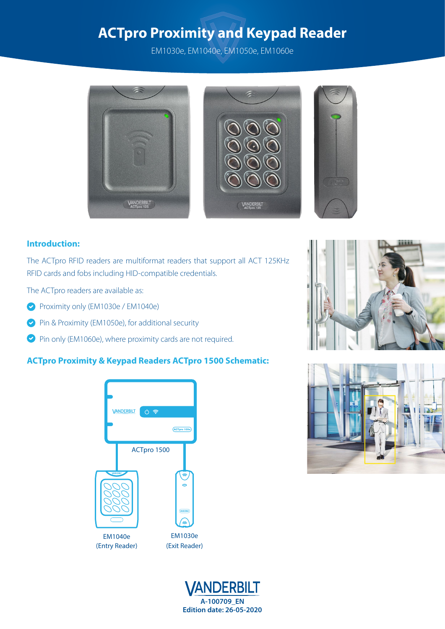EM1030e, EM1040e, EM1050e, EM1060e







### **Introduction:**

The ACTpro RFID readers are multiformat readers that support all ACT 125KHz RFID cards and fobs including HID-compatible credentials.

The ACTpro readers are available as:

- Proximity only (EM1030e / EM1040e)
- Pin & Proximity (EM1050e), for additional security
- Pin only (EM1060e), where proximity cards are not required.

## **ACTpro Proximity & Keypad Readers ACTpro 1500 Schematic:**







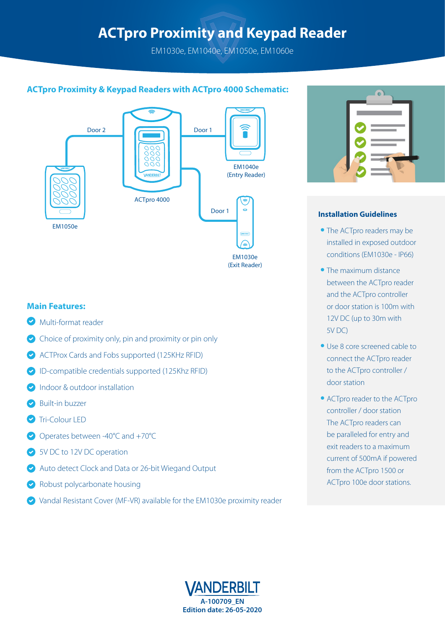EM1030e, EM1040e, EM1050e, EM1060e

## **ACTpro Proximity & Keypad Readers with ACTpro 4000 Schematic:**



#### **Main Features:**

- Multi-format reader
- $\bullet$  Choice of proximity only, pin and proximity or pin only
- ACTProx Cards and Fobs supported (125KHz RFID)
- ID-compatible credentials supported (125Khz RFID)
- Indoor & outdoor installation
- Built-in buzzer
- Tri-Colour LED
- Operates between -40°C and +70°C
- SV DC to 12V DC operation
- Auto detect Clock and Data or 26-bit Wiegand Output
- Robust polycarbonate housing
- Vandal Resistant Cover (MF-VR) available for the EM1030e proximity reader



#### **Installation Guidelines**

- **•** The ACTpro readers may be installed in exposed outdoor conditions (EM1030e - IP66)
- **•** The maximum distance between the ACTpro reader and the ACTpro controller or door station is 100m with 12V DC (up to 30m with 5V DC)
- **•** Use 8 core screened cable to connect the ACTpro reader to the ACTpro controller / door station
- **•** ACTpro reader to the ACTpro controller / door station The ACTpro readers can be paralleled for entry and exit readers to a maximum current of 500mA if powered from the ACTpro 1500 or ACTpro 100e door stations.

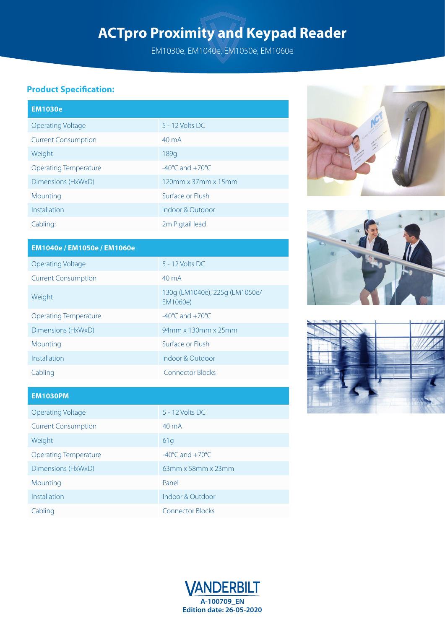EM1030e, EM1040e, EM1050e, EM1060e

## **Product Specification:**

| <b>EM1030e</b>               |                                     |
|------------------------------|-------------------------------------|
| <b>Operating Voltage</b>     | $5 - 12$ Volts DC                   |
| <b>Current Consumption</b>   | $40 \text{ mA}$                     |
| Weight                       | 189q                                |
| <b>Operating Temperature</b> | $-40^{\circ}$ C and $+70^{\circ}$ C |
| Dimensions (HxWxD)           | 120mm x 37mm x 15mm                 |
| Mounting                     | Surface or Flush                    |
| Installation                 | Indoor & Outdoor                    |
| Cabling:                     | 2m Pigtail lead                     |







| EM1040e / EM1050e / EM1060e  |                                            |  |  |
|------------------------------|--------------------------------------------|--|--|
| <b>Operating Voltage</b>     | $5 - 12$ Volts DC                          |  |  |
| <b>Current Consumption</b>   | $40 \text{ mA}$                            |  |  |
| Weight                       | 130g (EM1040e), 225g (EM1050e/<br>EM1060e) |  |  |
| <b>Operating Temperature</b> | $-40^{\circ}$ C and $+70^{\circ}$ C        |  |  |
| Dimensions (HxWxD)           | 94mm x 130mm x 25mm                        |  |  |
| Mounting                     | Surface or Elush                           |  |  |
| Installation                 | Indoor & Outdoor                           |  |  |
| Cabling                      | <b>Connector Blocks</b>                    |  |  |

### **EM1030PM**

| Operating Voltage            | 5 - 12 Volts DC                     |
|------------------------------|-------------------------------------|
| <b>Current Consumption</b>   | $40 \text{ mA}$                     |
| Weight                       | 61g                                 |
| <b>Operating Temperature</b> | $-40^{\circ}$ C and $+70^{\circ}$ C |
| Dimensions (HxWxD)           | 63mm x 58mm x 23mm                  |
| Mounting                     | Panel                               |
| Installation                 | Indoor & Outdoor                    |
| Cabling                      | <b>Connector Blocks</b>             |
|                              |                                     |